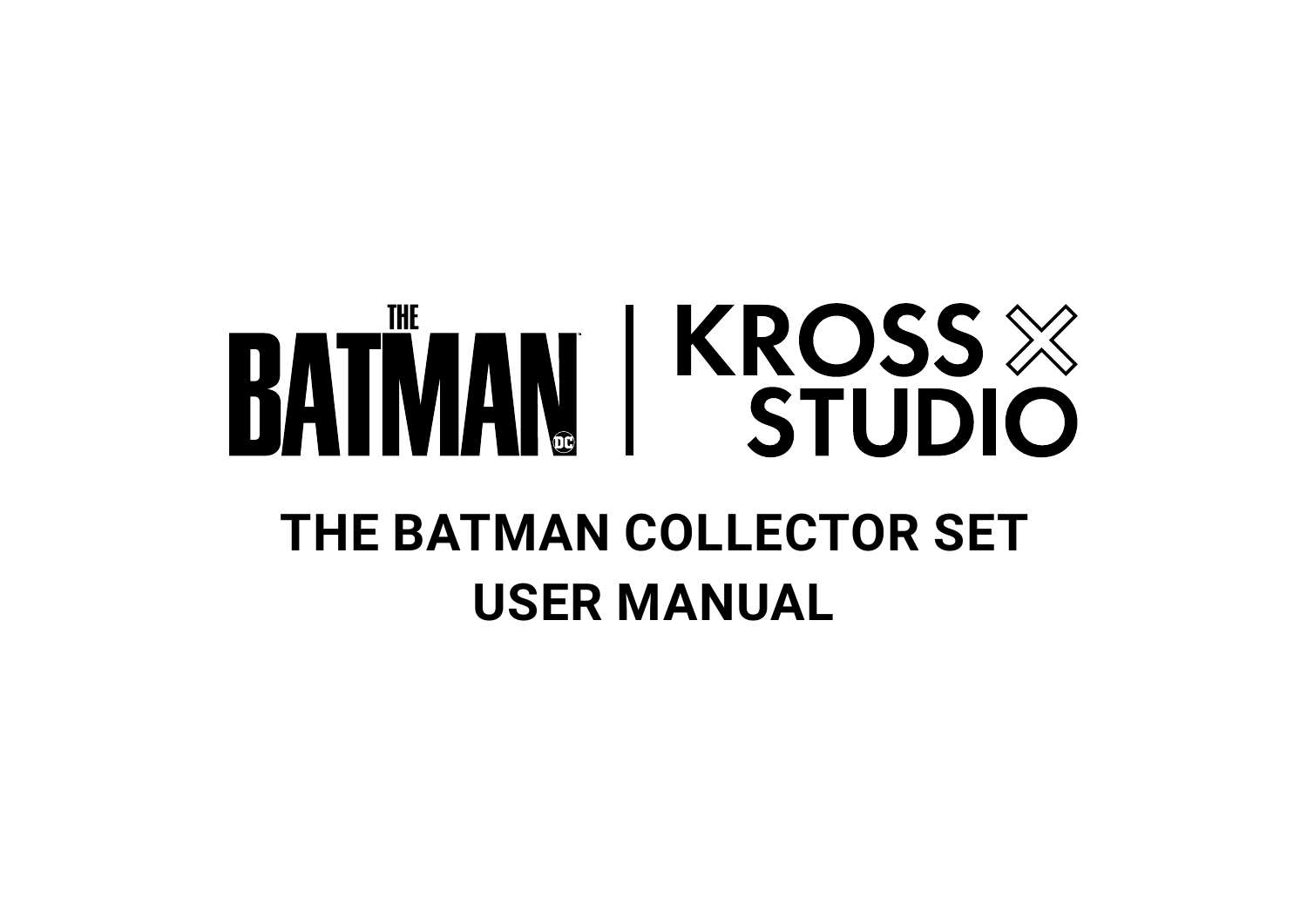# **BATIVAN | KROSS & THE BATMAN COLLECTOR SET USER MANUAL**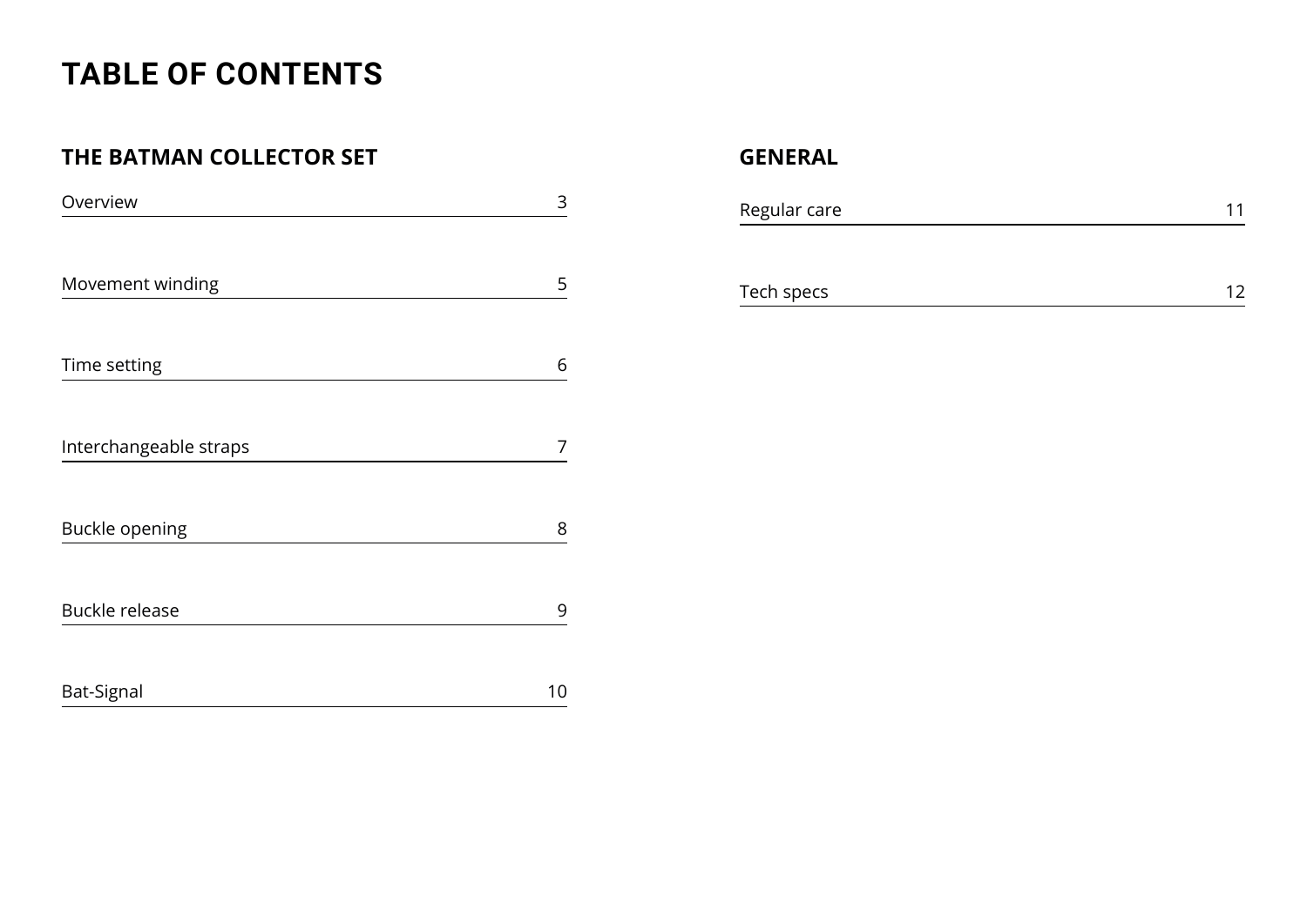## **TABLE OF CONTENTS**

#### **THE BATMAN COLLECTOR SET GENERAL**

| Overview               | 3  |
|------------------------|----|
|                        |    |
| Movement winding       | 5  |
| Time setting           | 6  |
| Interchangeable straps | 7  |
| <b>Buckle opening</b>  | 8  |
| <b>Buckle release</b>  | 9  |
| Bat-Signal             | 10 |

| Regular care |  |
|--------------|--|
|              |  |
| Tech specs   |  |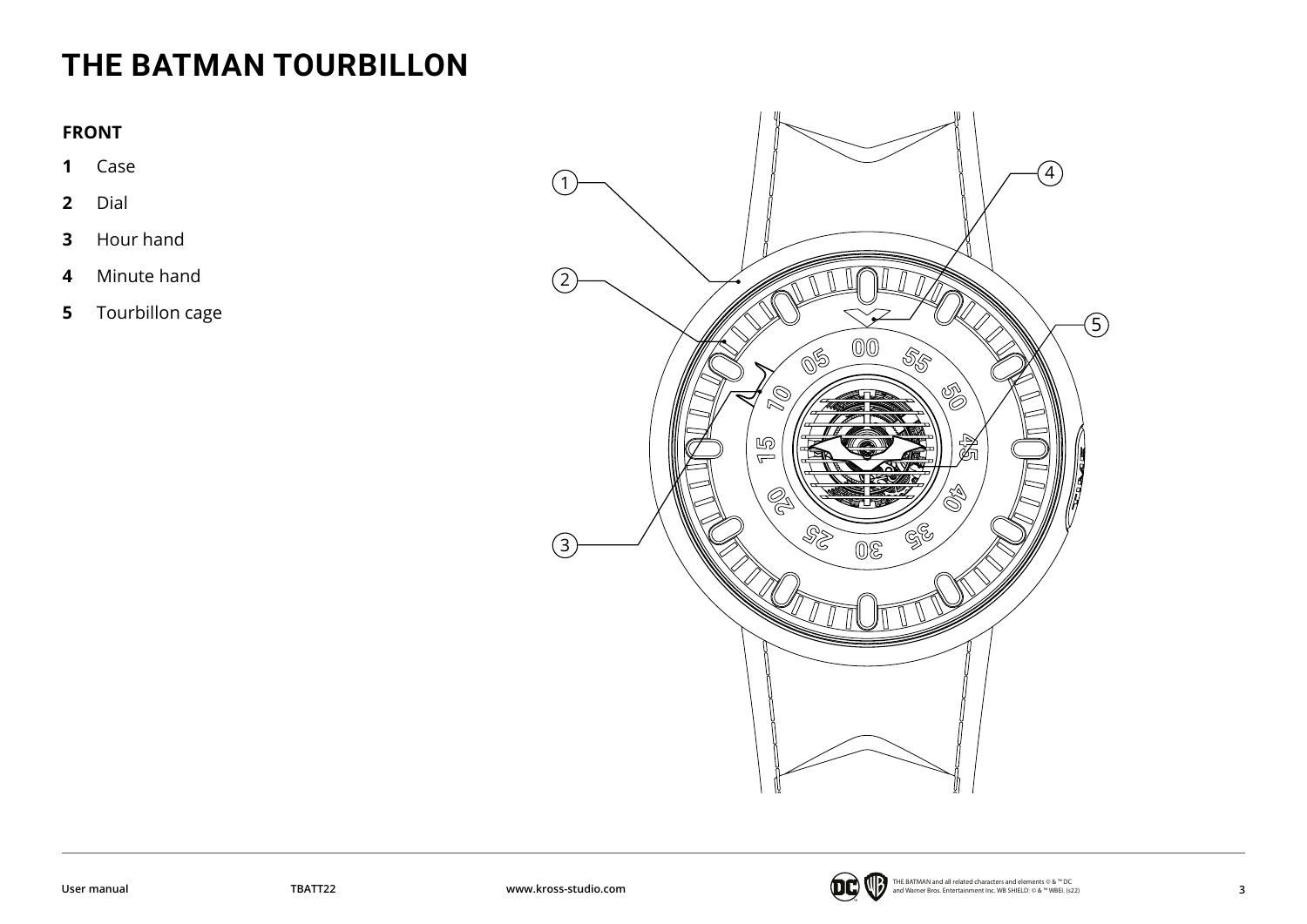## <span id="page-2-0"></span>**THE BATMAN TOURBILLON**

#### **FRONT**

- Case
- Dial
- Hour hand
- Minute hand
- Tourbillon cage



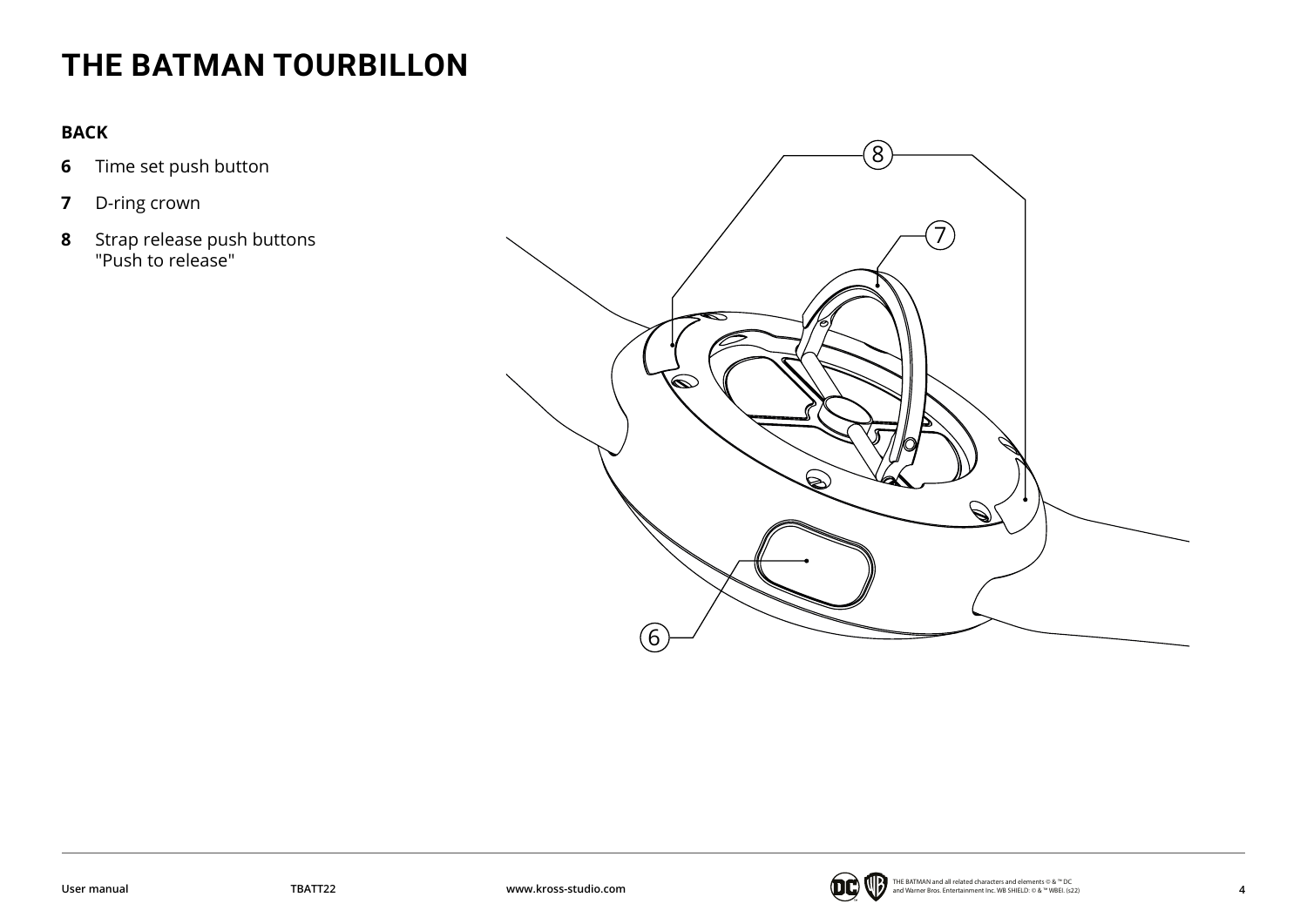## **THE BATMAN TOURBILLON**

#### **BACK**

- **6** Time set push button
- **7** D-ring crown
- **8** Strap release push buttons "Push to release"



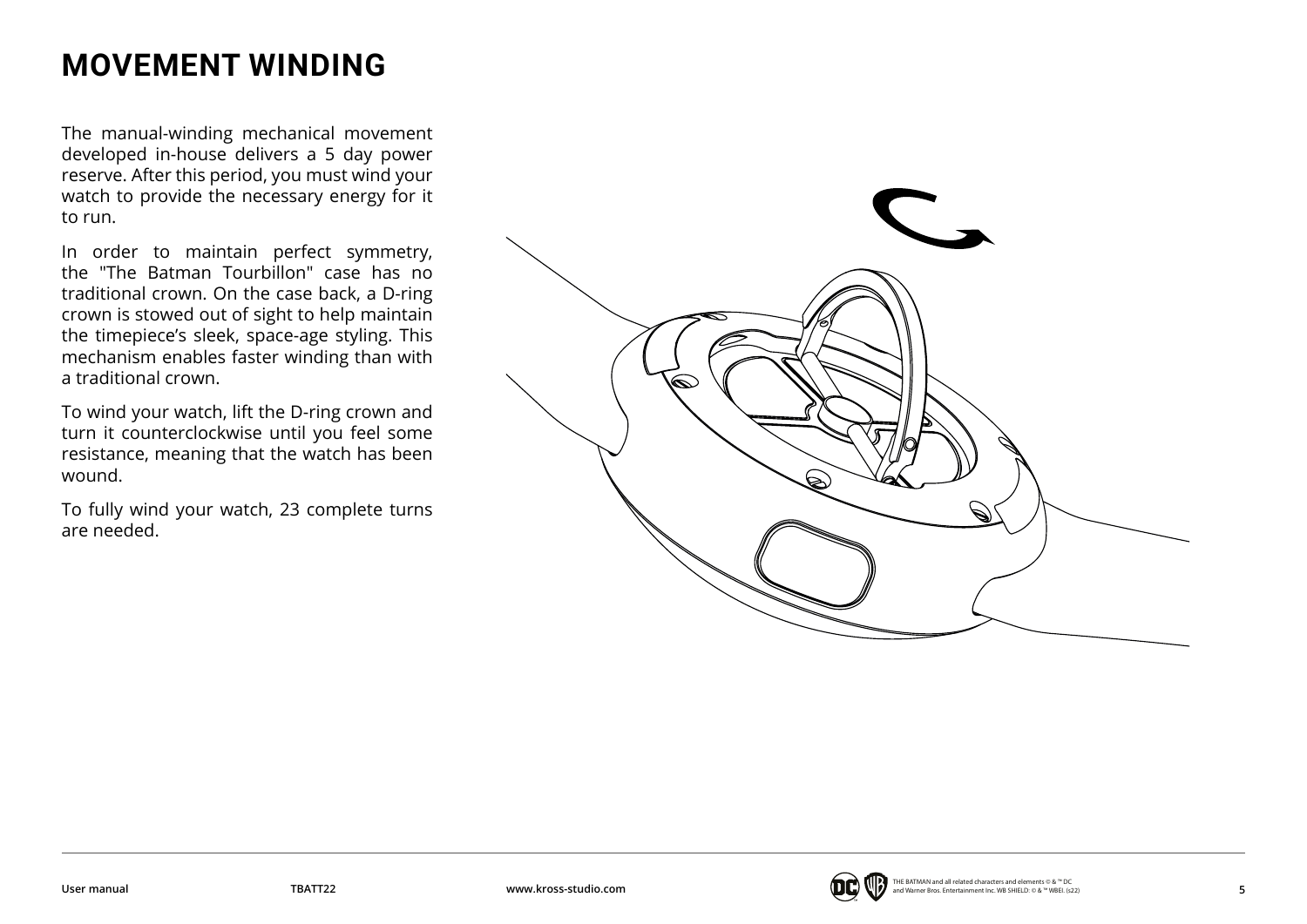## <span id="page-4-0"></span>**MOVEMENT WINDING**

The manual-winding mechanical movement developed in-house delivers a 5 day power reserve. After this period, you must wind your watch to provide the necessary energy for it to run.

In order to maintain perfect symmetry, the "The Batman Tourbillon" case has no traditional crown. On the case back, a D-ring crown is stowed out of sight to help maintain the timepiece's sleek, space-age styling. This mechanism enables faster winding than with a traditional crown.

To wind your watch, lift the D-ring crown and turn it counterclockwise until you feel some resistance, meaning that the watch has been wound.

To fully wind your watch, 23 complete turns are needed.



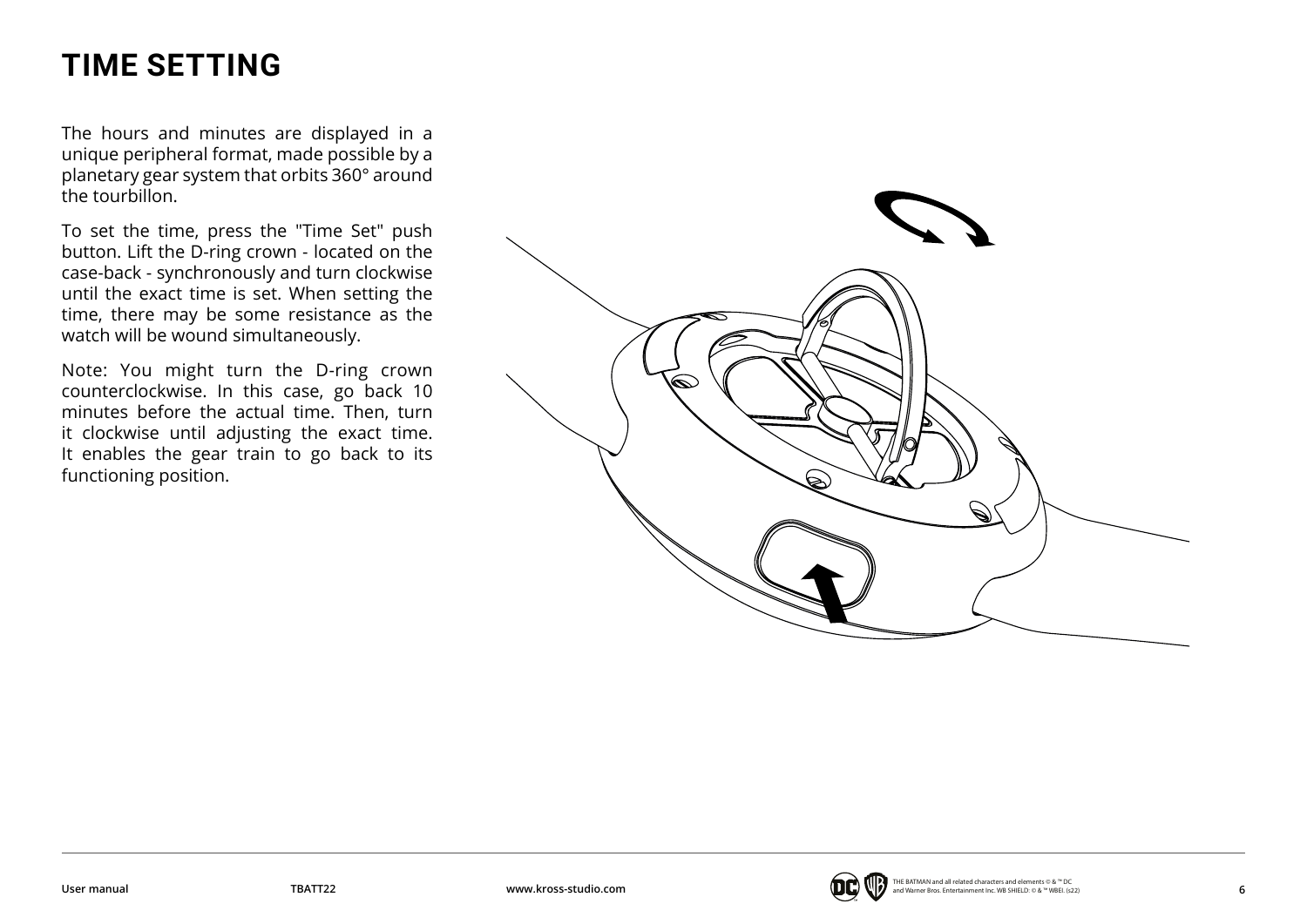## <span id="page-5-0"></span>**TIME SETTING**

The hours and minutes are displayed in a unique peripheral format, made possible by a planetary gear system that orbits 360° around the tourbillon.

To set the time, press the "Time Set" push button. Lift the D-ring crown - located on the case-back - synchronously and turn clockwise until the exact time is set. When setting the time, there may be some resistance as the watch will be wound simultaneously.

Note: You might turn the D-ring crown counterclockwise. In this case, go back 10 minutes before the actual time. Then, turn it clockwise until adjusting the exact time. It enables the gear train to go back to its functioning position.



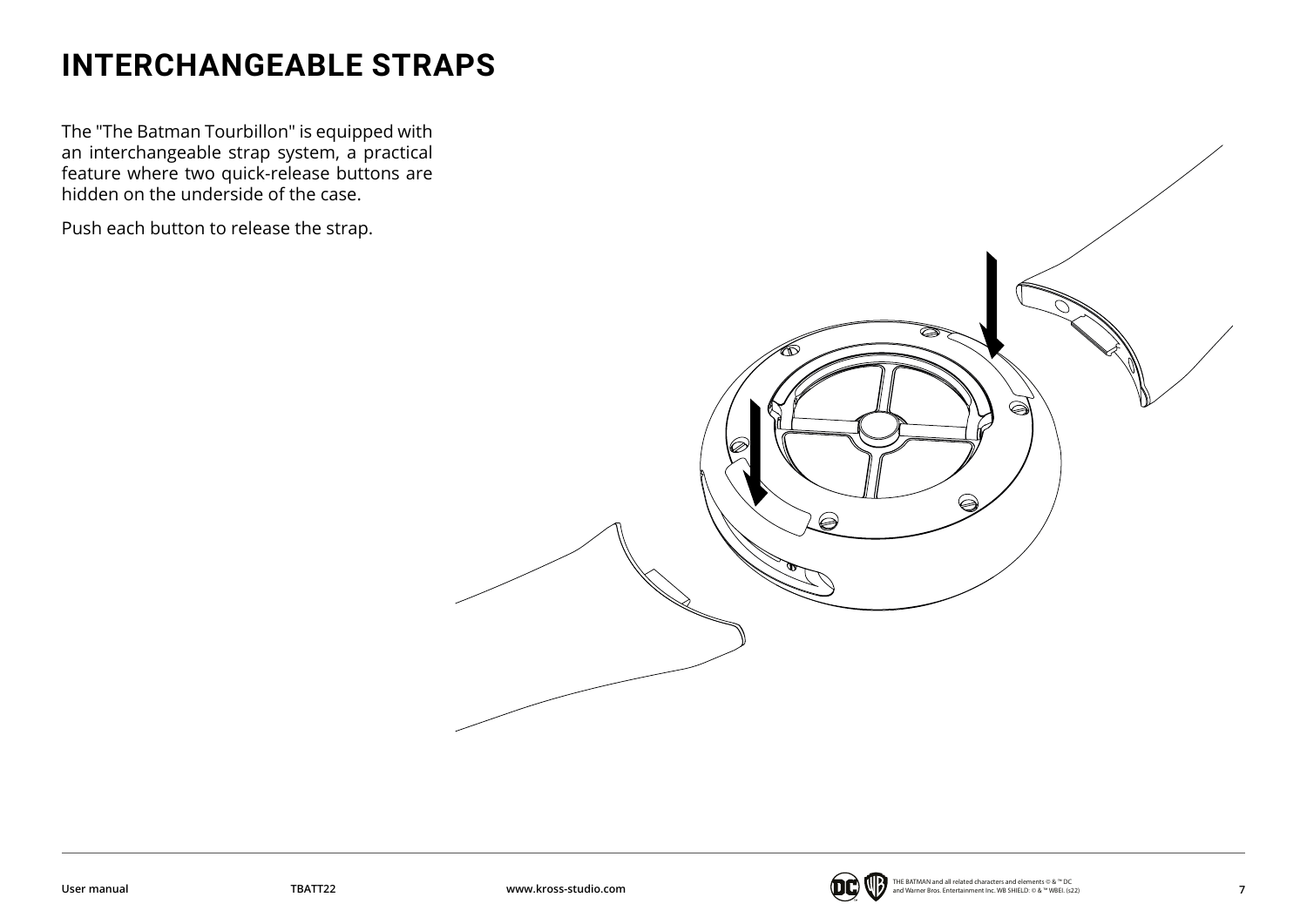## <span id="page-6-0"></span>**INTERCHANGEABLE STRAPS**

The "The Batman Tourbillon" is equipped with an interchangeable strap system, a practical feature where two quick-release buttons are hidden on the underside of the case.

Push each button to release the strap.



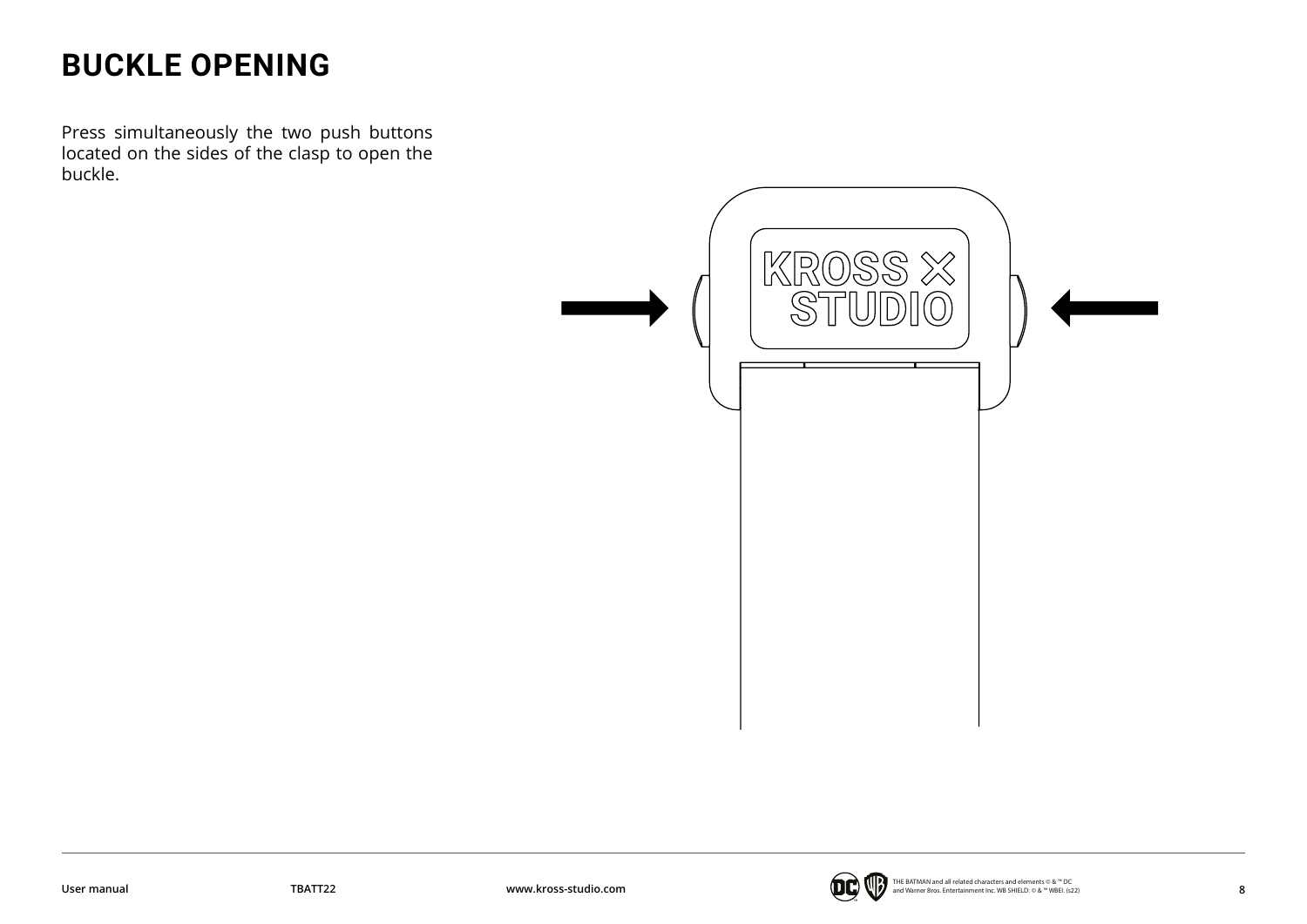## <span id="page-7-0"></span>**BUCKLE OPENING**

Press simultaneously the two push buttons located on the sides of the clasp to open the buckle.



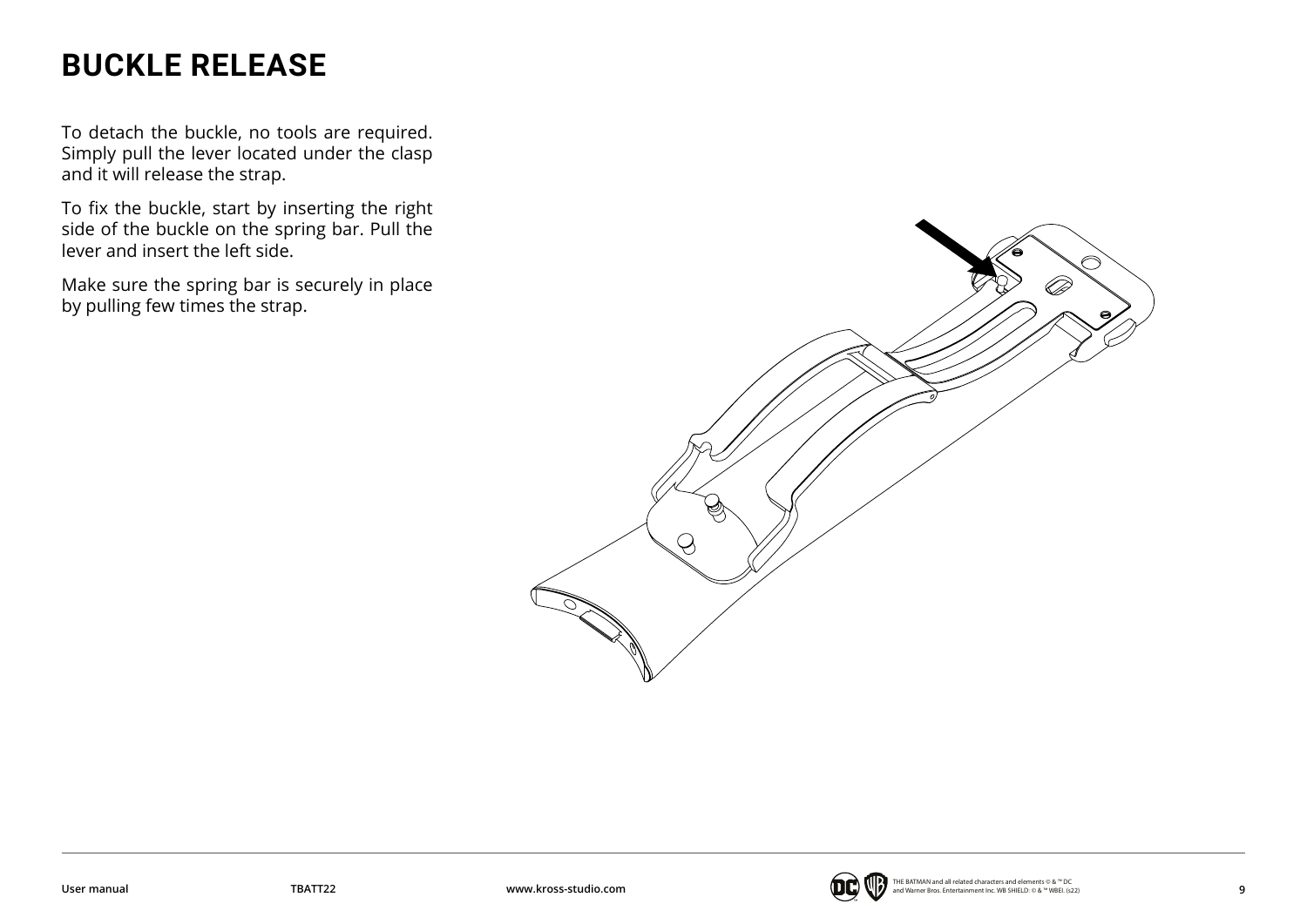## <span id="page-8-0"></span>**BUCKLE RELEASE**

To detach the buckle, no tools are required. Simply pull the lever located under the clasp and it will release the strap.

To fix the buckle, start by inserting the right side of the buckle on the spring bar. Pull the lever and insert the left side.

Make sure the spring bar is securely in place by pulling few times the strap.



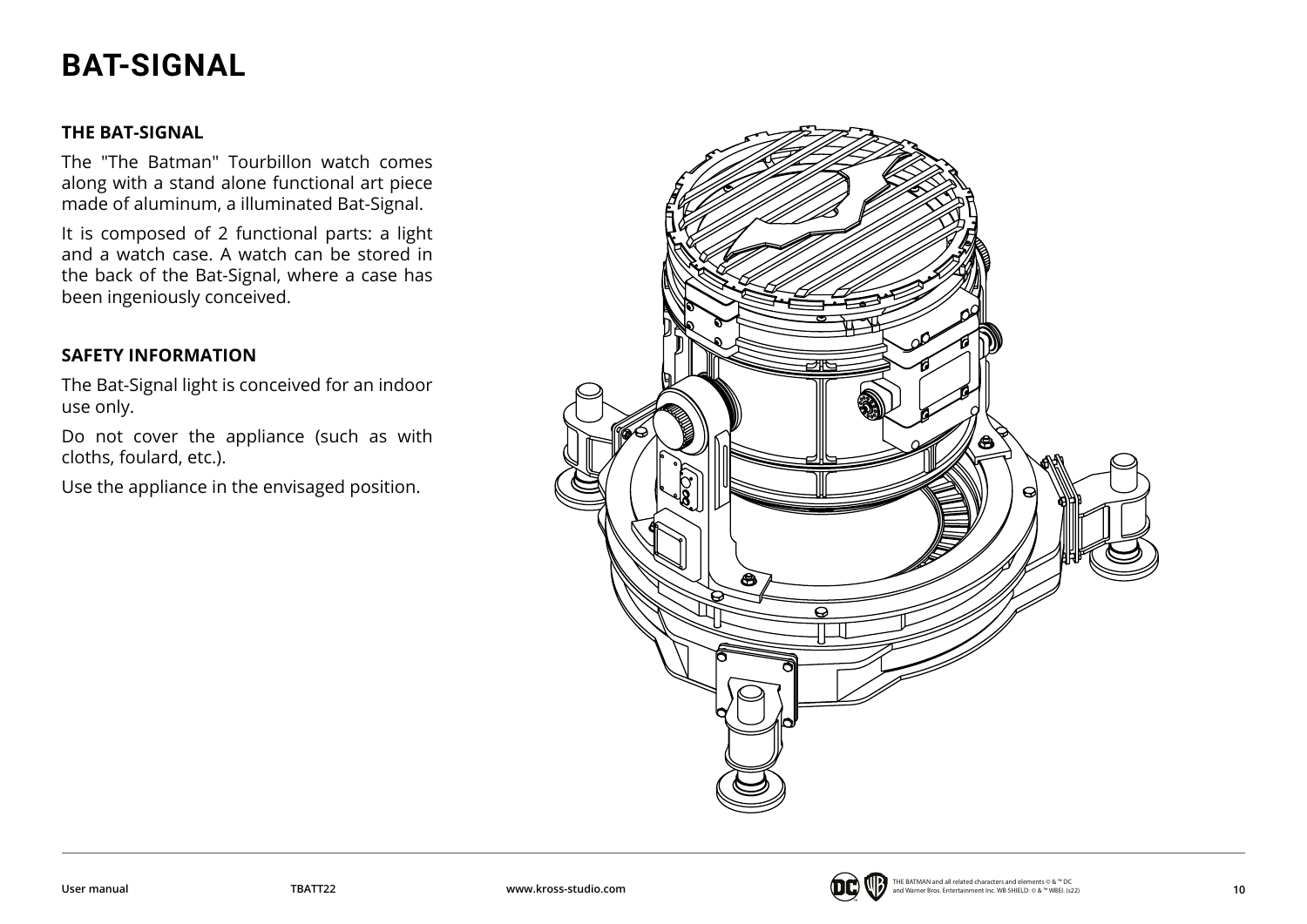## <span id="page-9-0"></span>**BAT-SIGNAL**

#### **THE BAT-SIGNAL**

The "The Batman" Tourbillon watch comes along with a stand alone functional art piece made of aluminum, a illuminated Bat-Signal.

It is composed of 2 functional parts: a light and a watch case. A watch can be stored in the back of the Bat-Signal, where a case has been ingeniously conceived.

#### **SAFETY INFORMATION**

The Bat-Signal light is conceived for an indoor use only.

Do not cover the appliance (such as with cloths, foulard, etc.).

Use the appliance in the envisaged position.

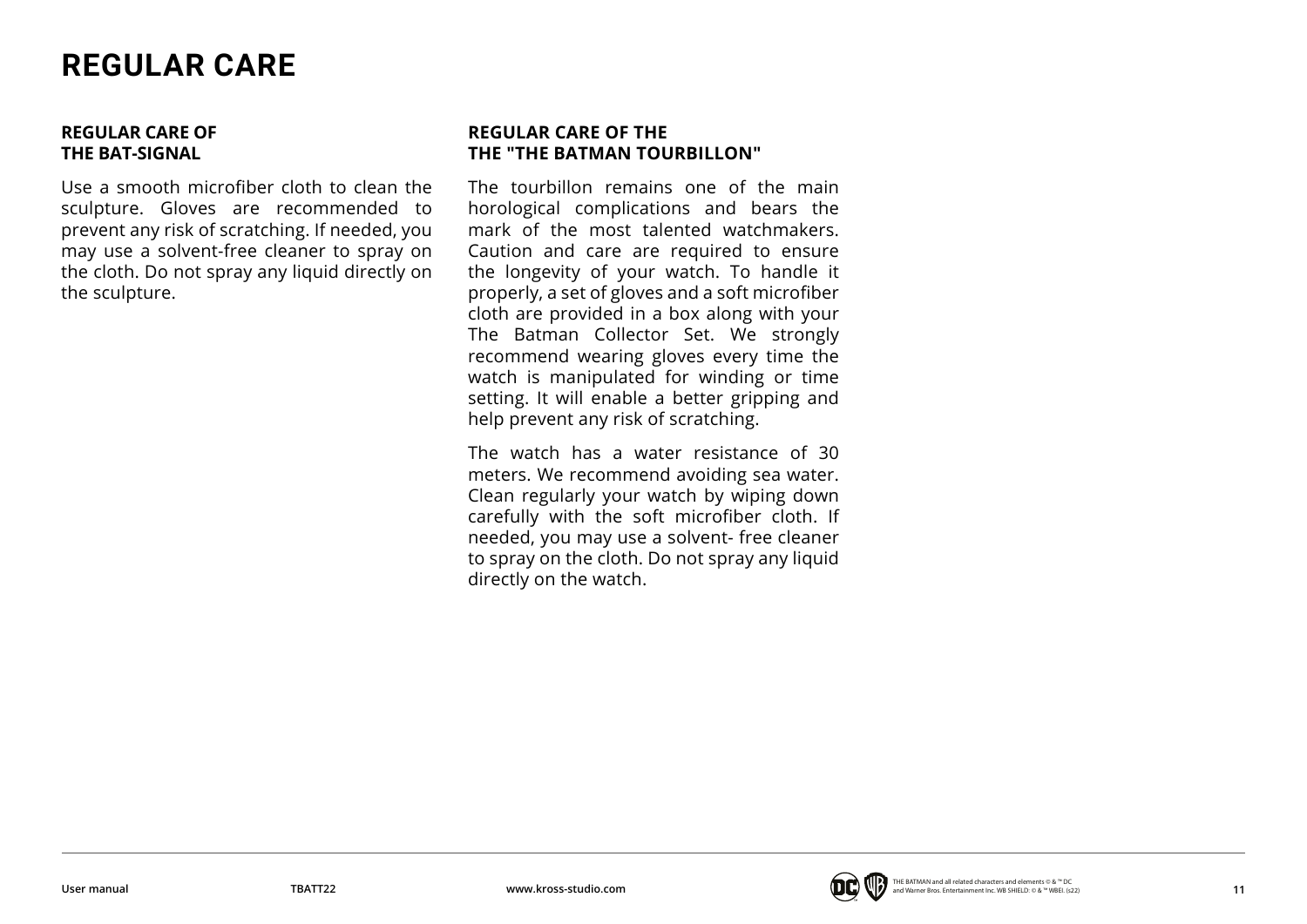## <span id="page-10-0"></span>**REGULAR CARE**

#### **REGULAR CARE OF THE BAT-SIGNAL**

Use a smooth microfiber cloth to clean the sculpture. Gloves are recommended to prevent any risk of scratching. If needed, you may use a solvent-free cleaner to spray on the cloth. Do not spray any liquid directly on the sculpture.

#### **REGULAR CARE OF THE THE "THE BATMAN TOURBILLON"**

The tourbillon remains one of the main horological complications and bears the mark of the most talented watchmakers. Caution and care are required to ensure the longevity of your watch. To handle it properly, a set of gloves and a soft microfiber cloth are provided in a box along with your The Batman Collector Set. We strongly recommend wearing gloves every time the watch is manipulated for winding or time setting. It will enable a better gripping and help prevent any risk of scratching.

The watch has a water resistance of 30 meters. We recommend avoiding sea water. Clean regularly your watch by wiping down carefully with the soft microfiber cloth. If needed, you may use a solvent- free cleaner to spray on the cloth. Do not spray any liquid directly on the watch.